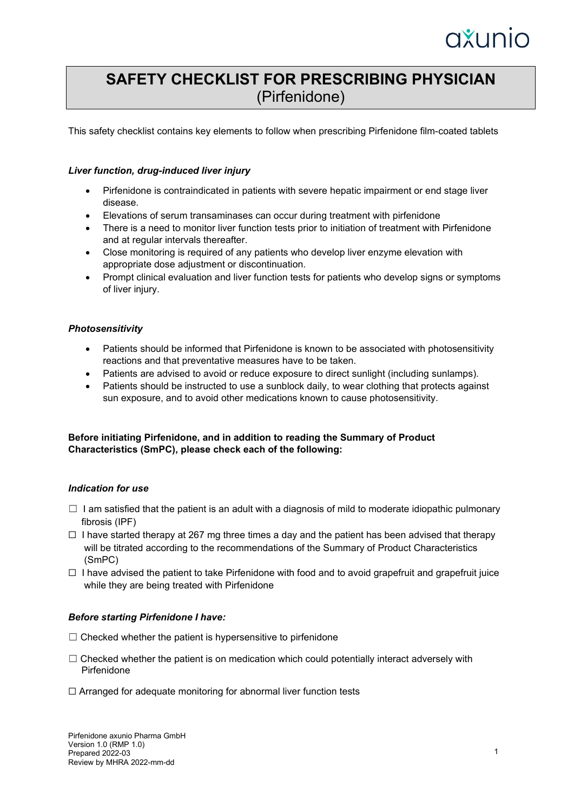# axunio

# **SAFETY CHECKLIST FOR PRESCRIBING PHYSICIAN** (Pirfenidone)

This safety checklist contains key elements to follow when prescribing Pirfenidone film-coated tablets

#### *Liver function, drug-induced liver injury*

- Pirfenidone is contraindicated in patients with severe hepatic impairment or end stage liver disease.
- Elevations of serum transaminases can occur during treatment with pirfenidone
- There is a need to monitor liver function tests prior to initiation of treatment with Pirfenidone and at regular intervals thereafter.
- Close monitoring is required of any patients who develop liver enzyme elevation with appropriate dose adjustment or discontinuation.
- Prompt clinical evaluation and liver function tests for patients who develop signs or symptoms of liver injury.

# *Photosensitivity*

- Patients should be informed that Pirfenidone is known to be associated with photosensitivity reactions and that preventative measures have to be taken.
- Patients are advised to avoid or reduce exposure to direct sunlight (including sunlamps).
- Patients should be instructed to use a sunblock daily, to wear clothing that protects against sun exposure, and to avoid other medications known to cause photosensitivity.

# **Before initiating Pirfenidone, and in addition to reading the Summary of Product Characteristics (SmPC), please check each of the following:**

#### *Indication for use*

- $\Box$  I am satisfied that the patient is an adult with a diagnosis of mild to moderate idiopathic pulmonary fibrosis (IPF)
- $\Box$  I have started therapy at 267 mg three times a day and the patient has been advised that therapy will be titrated according to the recommendations of the Summary of Product Characteristics (SmPC)
- $\Box$  I have advised the patient to take Pirfenidone with food and to avoid grapefruit and grapefruit juice while they are being treated with Pirfenidone

#### *Before starting Pirfenidone I have:*

- $\Box$  Checked whether the patient is hypersensitive to pirfenidone
- $\Box$  Checked whether the patient is on medication which could potentially interact adversely with Pirfenidone
- ☐ Arranged for adequate monitoring for abnormal liver function tests